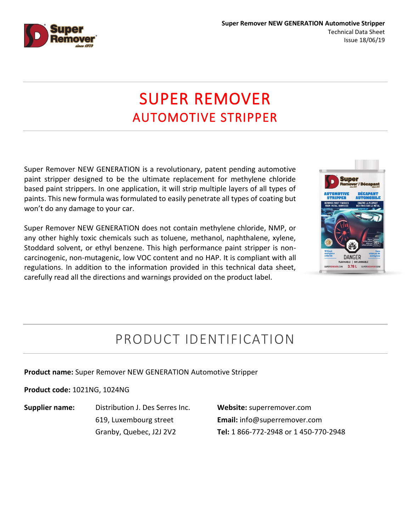

# SUPER REMOVER AUTOMOTIVE STRIPPER

Super Remover NEW GENERATION is a revolutionary, patent pending automotive paint stripper designed to be the ultimate replacement for methylene chloride based paint strippers. In one application, it will strip multiple layers of all types of paints. This new formula was formulated to easily penetrate all types of coating but won't do any damage to your car.

Super Remover NEW GENERATION does not contain methylene chloride, NMP, or any other highly toxic chemicals such as toluene, methanol, naphthalene, xylene, Stoddard solvent, or ethyl benzene. This high performance paint stripper is noncarcinogenic, non-mutagenic, low VOC content and no HAP. It is compliant with all regulations. In addition to the information provided in this technical data sheet, carefully read all the directions and warnings provided on the product label.



## PRODUCT IDENTIFICATION

**Product name:** Super Remover NEW GENERATION Automotive Stripper

**Product code:** 1021NG, 1024NG

**Supplier name:** Distribution J. Des Serres Inc. 619, Luxembourg street Granby, Quebec, J2J 2V2

**Website:** superremover.com **Email:** info@superremover.com **Tel:** 1 866-772-2948 or 1 450-770-2948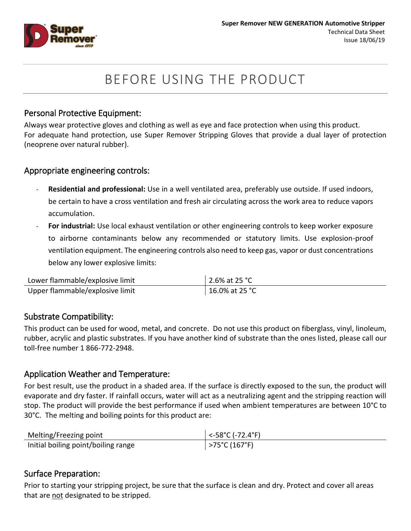

## BEFORE USING THE PRODUCT

#### Personal Protective Equipment:

Always wear protective gloves and clothing as well as eye and face protection when using this product. For adequate hand protection, use Super Remover Stripping Gloves that provide a dual layer of protection (neoprene over natural rubber).

#### Appropriate engineering controls:

- **Residential and professional:** Use in a well ventilated area, preferably use outside. If used indoors, be certain to have a cross ventilation and fresh air circulating across the work area to reduce vapors accumulation.
- **For industrial:** Use local exhaust ventilation or other engineering controls to keep worker exposure to airborne contaminants below any recommended or statutory limits. Use explosion-proof ventilation equipment. The engineering controls also need to keep gas, vapor or dust concentrations below any lower explosive limits:

| Lower flammable/explosive limit | 2.6% at 25 °C  |
|---------------------------------|----------------|
| Upper flammable/explosive limit | 16.0% at 25 °C |

#### Substrate Compatibility:

This product can be used for wood, metal, and concrete. Do not use this product on fiberglass, vinyl, linoleum, rubber, acrylic and plastic substrates. If you have another kind of substrate than the ones listed, please call our toll-free number 1 866-772-2948.

#### Application Weather and Temperature:

For best result, use the product in a shaded area. If the surface is directly exposed to the sun, the product will evaporate and dry faster. If rainfall occurs, water will act as a neutralizing agent and the stripping reaction will stop. The product will provide the best performance if used when ambient temperatures are between 10°C to 30°C. The melting and boiling points for this product are:

| Melting/Freezing point              | $\sim$ -58°C (-72.4°F)  |
|-------------------------------------|-------------------------|
| Initial boiling point/boiling range | $>75^{\circ}$ C (167°F) |

#### Surface Preparation:

Prior to starting your stripping project, be sure that the surface is clean and dry. Protect and cover all areas that are not designated to be stripped.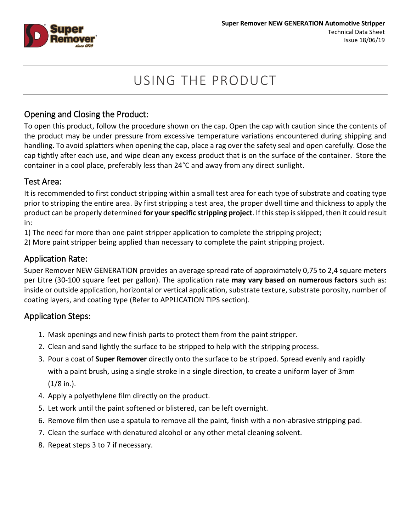

## USING THE PRODUCT

## Opening and Closing the Product:

To open this product, follow the procedure shown on the cap. Open the cap with caution since the contents of the product may be under pressure from excessive temperature variations encountered during shipping and handling. To avoid splatters when opening the cap, place a rag over the safety seal and open carefully. Close the cap tightly after each use, and wipe clean any excess product that is on the surface of the container. Store the container in a cool place, preferably less than 24°C and away from any direct sunlight.

#### Test Area:

It is recommended to first conduct stripping within a small test area for each type of substrate and coating type prior to stripping the entire area. By first stripping a test area, the proper dwell time and thickness to apply the product can be properly determined **for yourspecific stripping project**. If this step is skipped, then it could result in:

1) The need for more than one paint stripper application to complete the stripping project;

2) More paint stripper being applied than necessary to complete the paint stripping project.

### Application Rate:

Super Remover NEW GENERATION provides an average spread rate of approximately 0,75 to 2,4 square meters per Litre (30-100 square feet per gallon). The application rate **may vary based on numerous factors** such as: inside or outside application, horizontal or vertical application, substrate texture, substrate porosity, number of coating layers, and coating type (Refer to APPLICATION TIPS section).

### Application Steps:

- 1. Mask openings and new finish parts to protect them from the paint stripper.
- 2. Clean and sand lightly the surface to be stripped to help with the stripping process.
- 3. Pour a coat of **Super Remover** directly onto the surface to be stripped. Spread evenly and rapidly with a paint brush, using a single stroke in a single direction, to create a uniform layer of 3mm  $(1/8$  in.).
- 4. Apply a polyethylene film directly on the product.
- 5. Let work until the paint softened or blistered, can be left overnight.
- 6. Remove film then use a spatula to remove all the paint, finish with a non-abrasive stripping pad.
- 7. Clean the surface with denatured alcohol or any other metal cleaning solvent.
- 8. Repeat steps 3 to 7 if necessary.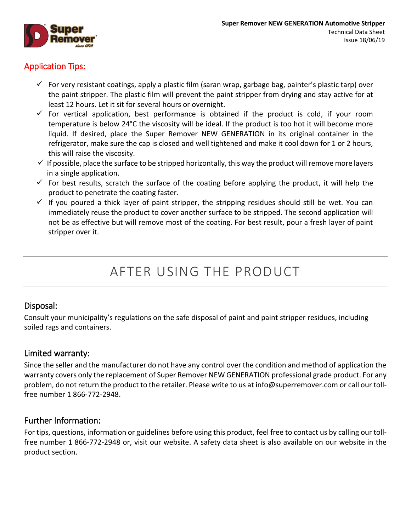

## Application Tips:

- $\checkmark$  For very resistant coatings, apply a plastic film (saran wrap, garbage bag, painter's plastic tarp) over the paint stripper. The plastic film will prevent the paint stripper from drying and stay active for at least 12 hours. Let it sit for several hours or overnight.
- $\checkmark$  For vertical application, best performance is obtained if the product is cold, if your room temperature is below 24°C the viscosity will be ideal. If the product is too hot it will become more liquid. If desired, place the Super Remover NEW GENERATION in its original container in the refrigerator, make sure the cap is closed and well tightened and make it cool down for 1 or 2 hours, this will raise the viscosity.
- $\checkmark$  If possible, place the surface to be stripped horizontally, this way the product will remove more layers in a single application.
- $\checkmark$  For best results, scratch the surface of the coating before applying the product, it will help the product to penetrate the coating faster.
- $\checkmark$  If you poured a thick layer of paint stripper, the stripping residues should still be wet. You can immediately reuse the product to cover another surface to be stripped. The second application will not be as effective but will remove most of the coating. For best result, pour a fresh layer of paint stripper over it.

## AFTER USING THE PRODUCT

### Disposal:

Consult your municipality's regulations on the safe disposal of paint and paint stripper residues, including soiled rags and containers.

### Limited warranty:

Since the seller and the manufacturer do not have any control over the condition and method of application the warranty covers only the replacement of Super Remover NEW GENERATION professional grade product. For any problem, do not return the product to the retailer. Please write to us at [info@superremover.com](mailto:info@superremover.com) or call our tollfree number 1 866-772-2948.

### Further Information:

For tips, questions, information or guidelines before using this product, feel free to contact us by calling our tollfree number 1 866-772-2948 or, visit our website. A safety data sheet is also available on our website in the product section.